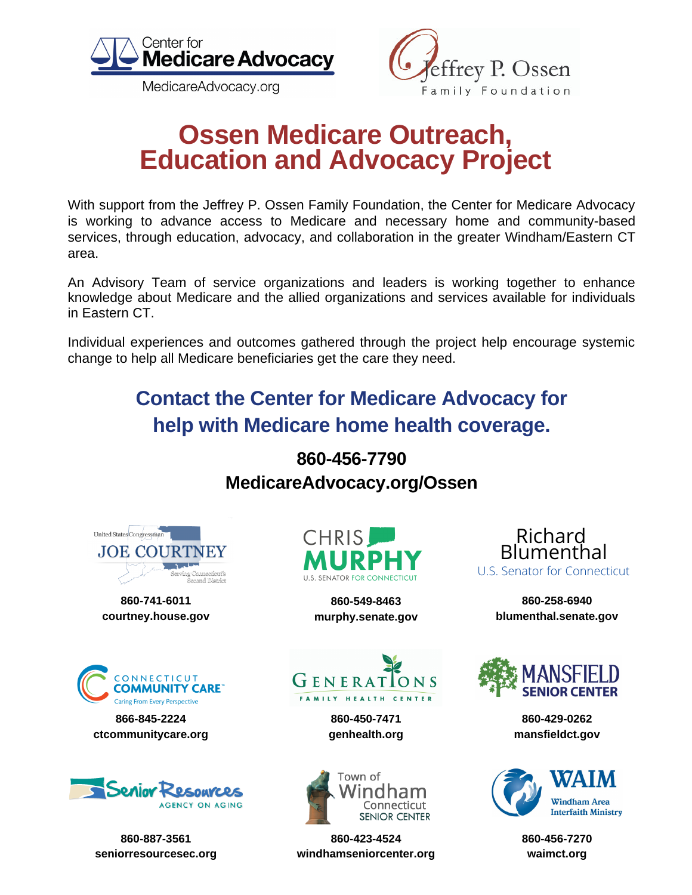

MedicareAdvocacy.org



## **Ossen Medicare Outreach, Education and Advocacy Project**

With support from the Jeffrey P. Ossen Family Foundation, the Center for Medicare Advocacy is working to advance access to Medicare and necessary home and community-based services, through education, advocacy, and collaboration in the greater Windham/Eastern CT area.

An Advisory Team of service organizations and leaders is working together to enhance knowledge about Medicare and the allied organizations and services available for individuals in Eastern CT.

Individual experiences and outcomes gathered through the project help encourage systemic change to help all Medicare beneficiaries get the care they need.

### **Contact the Center for Medicare Advocacy for help with Medicare home health coverage.**

### **860-456-7790 MedicareAdvocacy.org/Ossen**



**860-741-6011 courtney.house.gov**



**866-845-2224 ctcommunitycare.org**



**860-887-3561 seniorresourcesec.org**



**860-549-8463 murphy.senate.gov**



**860-450-7471 genhealth.org**



**860-423-4524 windhamseniorcenter.org**

Richard Blumenthal U.S. Senator for Connecticut

> **860-258-6940 blumenthal.senate.gov**



**860-429-0262 mansfieldct.gov**



**860-456-7270 waimct.org**